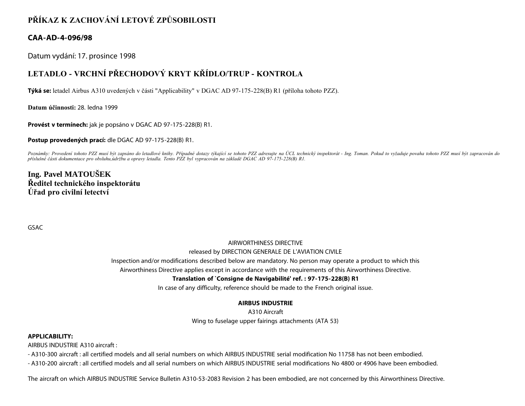## **PŘÍKAZ K ZACHOVÁNÍ LETOVÉ ZPŮSOBILOSTI**

### **CAA-AD-4-096/98**

Datum vydání: 17. prosince 1998

# **LETADLO - VRCHNÍ PŘECHODOVÝ KRYT KŘÍDLO/TRUP - KONTROLA**

**Týká se:** letadel Airbus A310 uvedených v části "Applicability" v DGAC AD 97-175-228(B) R1 (příloha tohoto PZZ).

**Datum účinnosti:** 28. ledna 1999

**Provést v termínech:** jak je popsáno v DGAC AD 97-175-228(B) R1.

**Postup provedených prací:** dle DGAC AD 97-175-228(B) R1.

Poznámky: Provedení tohoto PZZ musí být zapsáno do letadlové knihy. Případné dotazy týkající se tohoto PZZ adresujte na ÚCL technický inspektorát - Ing. Toman. Pokud to vyžaduje povaha tohoto PZZ musí být zapracován do *příslušné části dokumentace pro obsluhu,údržbu a opravy letadla. Tento PZZ byl vypracován na základě DGAC AD 97-175-228(B) R1.*

### **Ing. Pavel MATOUŠEK Ředitel technického inspektorátu Úřad pro civilní letectví**

GSAC

#### AIRWORTHINESS DIRECTIVE

#### released by DIRECTION GENERALE DE L'AVIATION CIVILE

Inspection and/or modifications described below are mandatory. No person may operate a product to which this

Airworthiness Directive applies except in accordance with the requirements of this Airworthiness Directive.

#### **Translation of `Consigne de Navigabilité' ref. : 97-175-228(B) R1**

In case of any difficulty, reference should be made to the French original issue.

#### **AIRBUS INDUSTRIE**

A310 Aircraft Wing to fuselage upper fairings attachments (ATA 53)

#### **APPLICABILITY:**

AIRBUS INDUSTRIE A310 aircraft :

- A310-300 aircraft : all certified models and all serial numbers on which AIRBUS INDUSTRIE serial modification No 11758 has not been embodied.

- A310-200 aircraft : all certified models and all serial numbers on which AIRBUS INDUSTRIE serial modifications No 4800 or 4906 have been embodied.

The aircraft on which AIRBUS INDUSTRIE Service Bulletin A310-53-2083 Revision 2 has been embodied, are not concerned by this Airworthiness Directive.